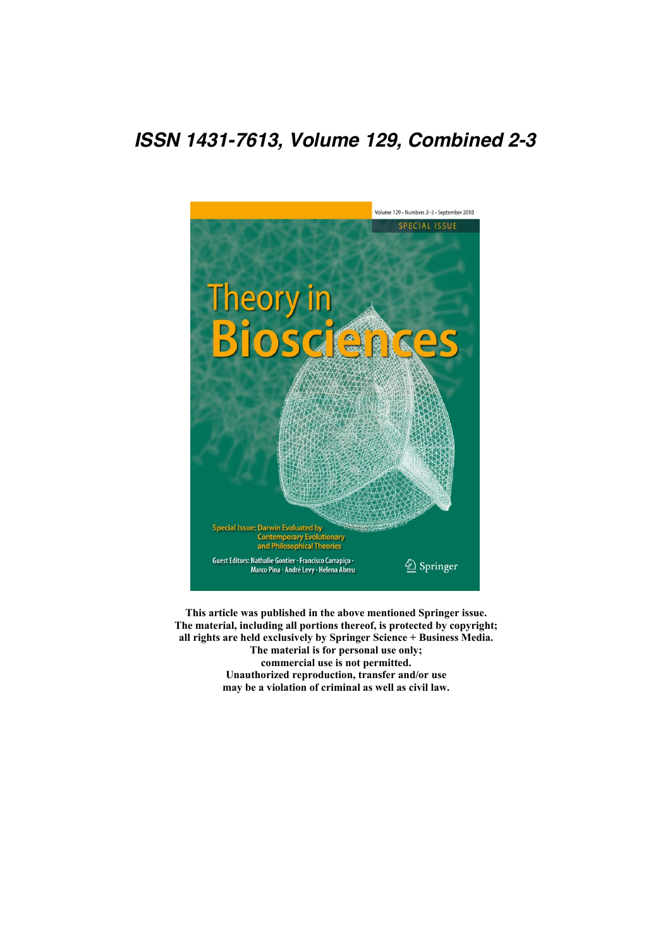# ISSN 1431-7613, Volume 129, Combined 2-3



This article was published in the above mentioned Springer issue. The material, including all portions thereof, is protected by copyright; all rights are held exclusively by Springer Science + Business Media. The material is for personal use only; commercial use is not permitted. Unauthorized reproduction, transfer and/or use may be a violation of criminal as well as civil law.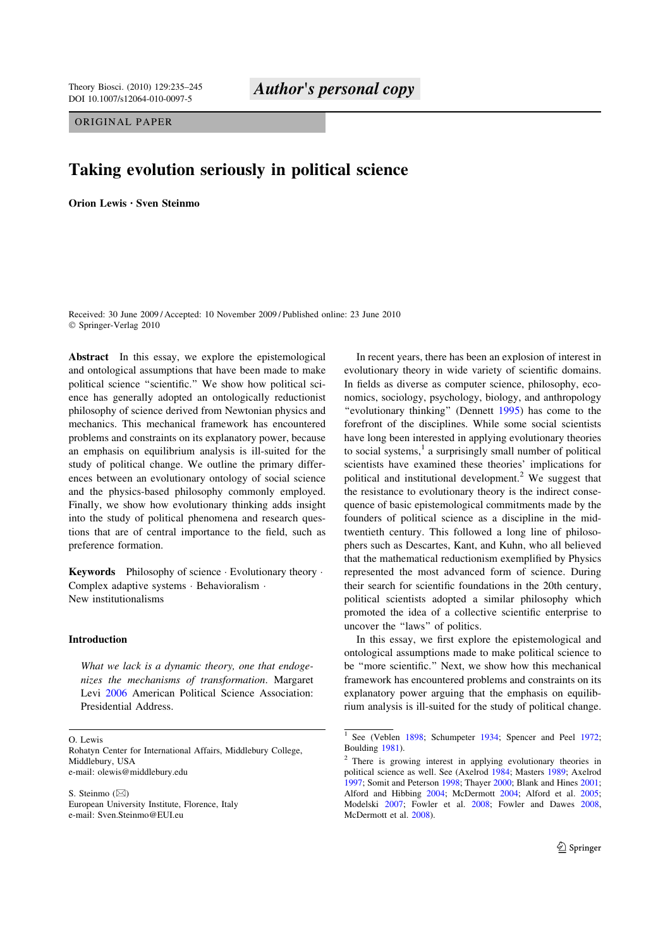ORIGINAL PAPER

# Taking evolution seriously in political science

Orion Lewis • Sven Steinmo

Received: 30 June 2009 / Accepted: 10 November 2009 / Published online: 23 June 2010  $©$  Springer-Verlag 2010

Abstract In this essay, we explore the epistemological and ontological assumptions that have been made to make political science ''scientific.'' We show how political science has generally adopted an ontologically reductionist philosophy of science derived from Newtonian physics and mechanics. This mechanical framework has encountered problems and constraints on its explanatory power, because an emphasis on equilibrium analysis is ill-suited for the study of political change. We outline the primary differences between an evolutionary ontology of social science and the physics-based philosophy commonly employed. Finally, we show how evolutionary thinking adds insight into the study of political phenomena and research questions that are of central importance to the field, such as preference formation.

Keywords Philosophy of science  $\cdot$  Evolutionary theory  $\cdot$ Complex adaptive systems · Behavioralism · New institutionalisms

## Introduction

What we lack is a dynamic theory, one that endogenizes the mechanisms of transformation. Margaret Levi 2006 American Political Science Association: Presidential Address.

O. Lewis

Rohatyn Center for International Affairs, Middlebury College, Middlebury, USA e-mail: olewis@middlebury.edu

S. Steinmo  $(\boxtimes)$ European University Institute, Florence, Italy e-mail: Sven.Steinmo@EUI.eu

In recent years, there has been an explosion of interest in evolutionary theory in wide variety of scientific domains. In fields as diverse as computer science, philosophy, economics, sociology, psychology, biology, and anthropology "evolutionary thinking" (Dennett 1995) has come to the forefront of the disciplines. While some social scientists have long been interested in applying evolutionary theories to social systems, $\frac{1}{1}$  a surprisingly small number of political scientists have examined these theories' implications for political and institutional development.<sup>2</sup> We suggest that the resistance to evolutionary theory is the indirect consequence of basic epistemological commitments made by the founders of political science as a discipline in the midtwentieth century. This followed a long line of philosophers such as Descartes, Kant, and Kuhn, who all believed that the mathematical reductionism exemplified by Physics represented the most advanced form of science. During their search for scientific foundations in the 20th century, political scientists adopted a similar philosophy which promoted the idea of a collective scientific enterprise to uncover the ''laws'' of politics.

In this essay, we first explore the epistemological and ontological assumptions made to make political science to be ''more scientific.'' Next, we show how this mechanical framework has encountered problems and constraints on its explanatory power arguing that the emphasis on equilibrium analysis is ill-suited for the study of political change.

<sup>&</sup>lt;sup>1</sup> See (Veblen 1898; Schumpeter 1934; Spencer and Peel 1972; Boulding 1981).

<sup>2</sup> There is growing interest in applying evolutionary theories in political science as well. See (Axelrod 1984; Masters 1989; Axelrod 1997; Somit and Peterson 1998; Thayer 2000; Blank and Hines 2001; Alford and Hibbing 2004; McDermott 2004; Alford et al. 2005; Modelski 2007; Fowler et al. 2008; Fowler and Dawes 2008, McDermott et al. 2008).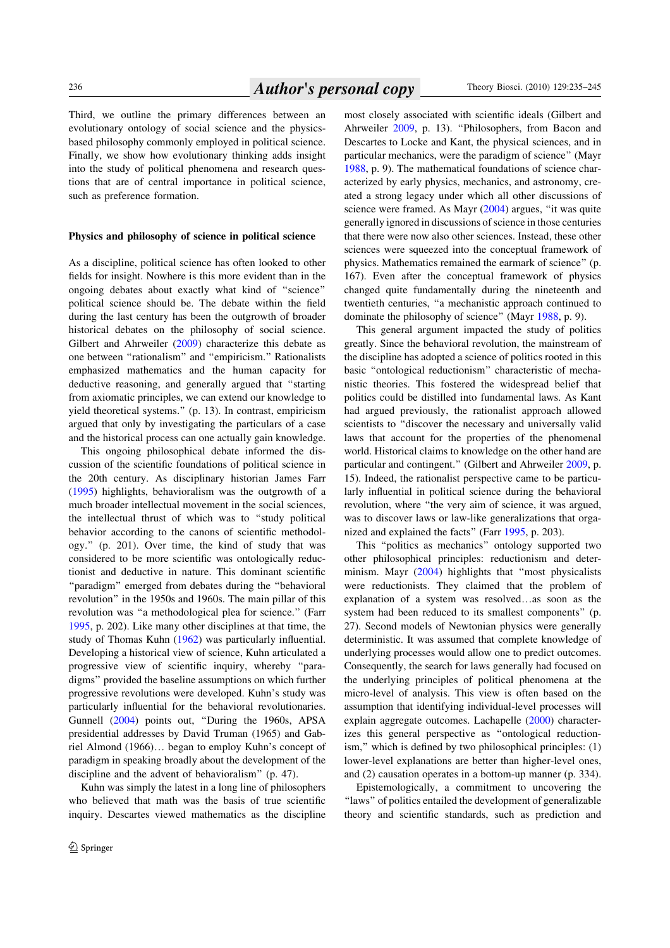Third, we outline the primary differences between an evolutionary ontology of social science and the physicsbased philosophy commonly employed in political science. Finally, we show how evolutionary thinking adds insight into the study of political phenomena and research questions that are of central importance in political science, such as preference formation.

#### Physics and philosophy of science in political science

As a discipline, political science has often looked to other fields for insight. Nowhere is this more evident than in the ongoing debates about exactly what kind of ''science'' political science should be. The debate within the field during the last century has been the outgrowth of broader historical debates on the philosophy of social science. Gilbert and Ahrweiler (2009) characterize this debate as one between ''rationalism'' and ''empiricism.'' Rationalists emphasized mathematics and the human capacity for deductive reasoning, and generally argued that ''starting from axiomatic principles, we can extend our knowledge to yield theoretical systems.'' (p. 13). In contrast, empiricism argued that only by investigating the particulars of a case and the historical process can one actually gain knowledge.

This ongoing philosophical debate informed the discussion of the scientific foundations of political science in the 20th century. As disciplinary historian James Farr (1995) highlights, behavioralism was the outgrowth of a much broader intellectual movement in the social sciences, the intellectual thrust of which was to ''study political behavior according to the canons of scientific methodology.'' (p. 201). Over time, the kind of study that was considered to be more scientific was ontologically reductionist and deductive in nature. This dominant scientific ''paradigm'' emerged from debates during the ''behavioral revolution'' in the 1950s and 1960s. The main pillar of this revolution was ''a methodological plea for science.'' (Farr 1995, p. 202). Like many other disciplines at that time, the study of Thomas Kuhn (1962) was particularly influential. Developing a historical view of science, Kuhn articulated a progressive view of scientific inquiry, whereby ''paradigms'' provided the baseline assumptions on which further progressive revolutions were developed. Kuhn's study was particularly influential for the behavioral revolutionaries. Gunnell (2004) points out, ''During the 1960s, APSA presidential addresses by David Truman (1965) and Gabriel Almond (1966)… began to employ Kuhn's concept of paradigm in speaking broadly about the development of the discipline and the advent of behavioralism'' (p. 47).

Kuhn was simply the latest in a long line of philosophers who believed that math was the basis of true scientific inquiry. Descartes viewed mathematics as the discipline

2 Springer

most closely associated with scientific ideals (Gilbert and Ahrweiler 2009, p. 13). ''Philosophers, from Bacon and Descartes to Locke and Kant, the physical sciences, and in particular mechanics, were the paradigm of science'' (Mayr 1988, p. 9). The mathematical foundations of science characterized by early physics, mechanics, and astronomy, created a strong legacy under which all other discussions of science were framed. As Mayr (2004) argues, ''it was quite generally ignored in discussions of science in those centuries that there were now also other sciences. Instead, these other sciences were squeezed into the conceptual framework of physics. Mathematics remained the earmark of science'' (p. 167). Even after the conceptual framework of physics changed quite fundamentally during the nineteenth and twentieth centuries, ''a mechanistic approach continued to dominate the philosophy of science'' (Mayr 1988, p. 9).

This general argument impacted the study of politics greatly. Since the behavioral revolution, the mainstream of the discipline has adopted a science of politics rooted in this basic ''ontological reductionism'' characteristic of mechanistic theories. This fostered the widespread belief that politics could be distilled into fundamental laws. As Kant had argued previously, the rationalist approach allowed scientists to ''discover the necessary and universally valid laws that account for the properties of the phenomenal world. Historical claims to knowledge on the other hand are particular and contingent.'' (Gilbert and Ahrweiler 2009, p. 15). Indeed, the rationalist perspective came to be particularly influential in political science during the behavioral revolution, where ''the very aim of science, it was argued, was to discover laws or law-like generalizations that organized and explained the facts'' (Farr 1995, p. 203).

This ''politics as mechanics'' ontology supported two other philosophical principles: reductionism and determinism. Mayr (2004) highlights that ''most physicalists were reductionists. They claimed that the problem of explanation of a system was resolved…as soon as the system had been reduced to its smallest components'' (p. 27). Second models of Newtonian physics were generally deterministic. It was assumed that complete knowledge of underlying processes would allow one to predict outcomes. Consequently, the search for laws generally had focused on the underlying principles of political phenomena at the micro-level of analysis. This view is often based on the assumption that identifying individual-level processes will explain aggregate outcomes. Lachapelle (2000) characterizes this general perspective as ''ontological reductionism,'' which is defined by two philosophical principles: (1) lower-level explanations are better than higher-level ones, and (2) causation operates in a bottom-up manner (p. 334).

Epistemologically, a commitment to uncovering the "laws" of politics entailed the development of generalizable theory and scientific standards, such as prediction and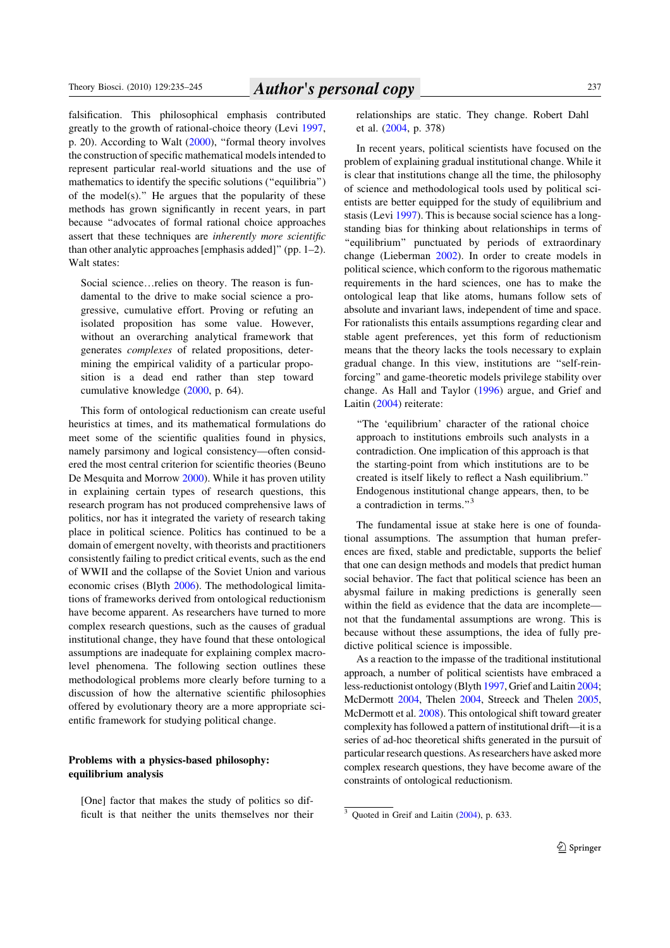falsification. This philosophical emphasis contributed greatly to the growth of rational-choice theory (Levi 1997, p. 20). According to Walt (2000), ''formal theory involves the construction of specific mathematical models intended to represent particular real-world situations and the use of mathematics to identify the specific solutions (''equilibria'') of the model $(s)$ ." He argues that the popularity of these methods has grown significantly in recent years, in part because ''advocates of formal rational choice approaches assert that these techniques are inherently more scientific than other analytic approaches [emphasis added]'' (pp. 1–2). Walt states:

Social science…relies on theory. The reason is fundamental to the drive to make social science a progressive, cumulative effort. Proving or refuting an isolated proposition has some value. However, without an overarching analytical framework that generates complexes of related propositions, determining the empirical validity of a particular proposition is a dead end rather than step toward cumulative knowledge (2000, p. 64).

This form of ontological reductionism can create useful heuristics at times, and its mathematical formulations do meet some of the scientific qualities found in physics, namely parsimony and logical consistency—often considered the most central criterion for scientific theories (Beuno De Mesquita and Morrow 2000). While it has proven utility in explaining certain types of research questions, this research program has not produced comprehensive laws of politics, nor has it integrated the variety of research taking place in political science. Politics has continued to be a domain of emergent novelty, with theorists and practitioners consistently failing to predict critical events, such as the end of WWII and the collapse of the Soviet Union and various economic crises (Blyth 2006). The methodological limitations of frameworks derived from ontological reductionism have become apparent. As researchers have turned to more complex research questions, such as the causes of gradual institutional change, they have found that these ontological assumptions are inadequate for explaining complex macrolevel phenomena. The following section outlines these methodological problems more clearly before turning to a discussion of how the alternative scientific philosophies offered by evolutionary theory are a more appropriate scientific framework for studying political change.

# Problems with a physics-based philosophy: equilibrium analysis

[One] factor that makes the study of politics so difficult is that neither the units themselves nor their

relationships are static. They change. Robert Dahl et al. (2004, p. 378)

In recent years, political scientists have focused on the problem of explaining gradual institutional change. While it is clear that institutions change all the time, the philosophy of science and methodological tools used by political scientists are better equipped for the study of equilibrium and stasis (Levi 1997). This is because social science has a longstanding bias for thinking about relationships in terms of ''equilibrium'' punctuated by periods of extraordinary change (Lieberman 2002). In order to create models in political science, which conform to the rigorous mathematic requirements in the hard sciences, one has to make the ontological leap that like atoms, humans follow sets of absolute and invariant laws, independent of time and space. For rationalists this entails assumptions regarding clear and stable agent preferences, yet this form of reductionism means that the theory lacks the tools necessary to explain gradual change. In this view, institutions are ''self-reinforcing'' and game-theoretic models privilege stability over change. As Hall and Taylor (1996) argue, and Grief and Laitin (2004) reiterate:

''The 'equilibrium' character of the rational choice approach to institutions embroils such analysts in a contradiction. One implication of this approach is that the starting-point from which institutions are to be created is itself likely to reflect a Nash equilibrium.'' Endogenous institutional change appears, then, to be a contradiction in terms."<sup>3</sup>

The fundamental issue at stake here is one of foundational assumptions. The assumption that human preferences are fixed, stable and predictable, supports the belief that one can design methods and models that predict human social behavior. The fact that political science has been an abysmal failure in making predictions is generally seen within the field as evidence that the data are incomplete not that the fundamental assumptions are wrong. This is because without these assumptions, the idea of fully predictive political science is impossible.

As a reaction to the impasse of the traditional institutional approach, a number of political scientists have embraced a less-reductionist ontology (Blyth 1997, Grief and Laitin 2004; McDermott 2004, Thelen 2004, Streeck and Thelen 2005, McDermott et al. 2008). This ontological shift toward greater complexity has followed a pattern of institutional drift—it is a series of ad-hoc theoretical shifts generated in the pursuit of particular research questions. As researchers have asked more complex research questions, they have become aware of the constraints of ontological reductionism.

 $3$  Quoted in Greif and Laitin (2004), p. 633.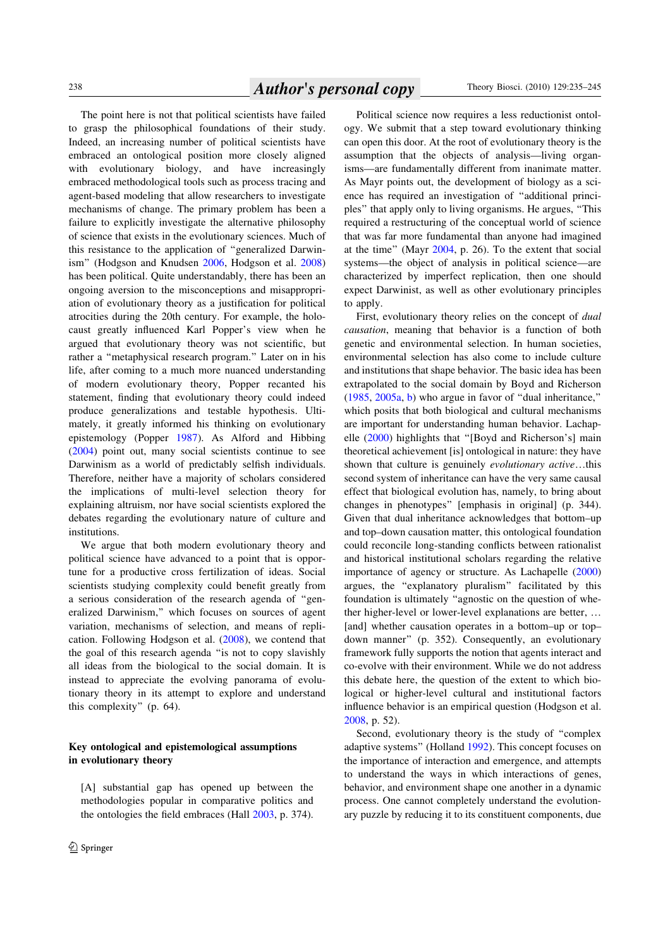The point here is not that political scientists have failed to grasp the philosophical foundations of their study. Indeed, an increasing number of political scientists have embraced an ontological position more closely aligned with evolutionary biology, and have increasingly embraced methodological tools such as process tracing and agent-based modeling that allow researchers to investigate mechanisms of change. The primary problem has been a failure to explicitly investigate the alternative philosophy of science that exists in the evolutionary sciences. Much of this resistance to the application of ''generalized Darwinism'' (Hodgson and Knudsen 2006, Hodgson et al. 2008) has been political. Quite understandably, there has been an ongoing aversion to the misconceptions and misappropriation of evolutionary theory as a justification for political atrocities during the 20th century. For example, the holocaust greatly influenced Karl Popper's view when he argued that evolutionary theory was not scientific, but rather a ''metaphysical research program.'' Later on in his life, after coming to a much more nuanced understanding of modern evolutionary theory, Popper recanted his statement, finding that evolutionary theory could indeed produce generalizations and testable hypothesis. Ultimately, it greatly informed his thinking on evolutionary epistemology (Popper 1987). As Alford and Hibbing (2004) point out, many social scientists continue to see Darwinism as a world of predictably selfish individuals. Therefore, neither have a majority of scholars considered the implications of multi-level selection theory for explaining altruism, nor have social scientists explored the debates regarding the evolutionary nature of culture and institutions.

We argue that both modern evolutionary theory and political science have advanced to a point that is opportune for a productive cross fertilization of ideas. Social scientists studying complexity could benefit greatly from a serious consideration of the research agenda of ''generalized Darwinism,'' which focuses on sources of agent variation, mechanisms of selection, and means of replication. Following Hodgson et al. (2008), we contend that the goal of this research agenda ''is not to copy slavishly all ideas from the biological to the social domain. It is instead to appreciate the evolving panorama of evolutionary theory in its attempt to explore and understand this complexity'' (p. 64).

# Key ontological and epistemological assumptions in evolutionary theory

[A] substantial gap has opened up between the methodologies popular in comparative politics and the ontologies the field embraces (Hall 2003, p. 374).

Political science now requires a less reductionist ontology. We submit that a step toward evolutionary thinking can open this door. At the root of evolutionary theory is the assumption that the objects of analysis—living organisms—are fundamentally different from inanimate matter. As Mayr points out, the development of biology as a science has required an investigation of ''additional principles'' that apply only to living organisms. He argues, ''This required a restructuring of the conceptual world of science that was far more fundamental than anyone had imagined at the time'' (Mayr 2004, p. 26). To the extent that social systems—the object of analysis in political science—are characterized by imperfect replication, then one should expect Darwinist, as well as other evolutionary principles to apply.

First, evolutionary theory relies on the concept of *dual* causation, meaning that behavior is a function of both genetic and environmental selection. In human societies, environmental selection has also come to include culture and institutions that shape behavior. The basic idea has been extrapolated to the social domain by Boyd and Richerson (1985, 2005a, b) who argue in favor of ''dual inheritance,'' which posits that both biological and cultural mechanisms are important for understanding human behavior. Lachapelle (2000) highlights that ''[Boyd and Richerson's] main theoretical achievement [is] ontological in nature: they have shown that culture is genuinely *evolutionary active*...this second system of inheritance can have the very same causal effect that biological evolution has, namely, to bring about changes in phenotypes'' [emphasis in original] (p. 344). Given that dual inheritance acknowledges that bottom–up and top–down causation matter, this ontological foundation could reconcile long-standing conflicts between rationalist and historical institutional scholars regarding the relative importance of agency or structure. As Lachapelle (2000) argues, the ''explanatory pluralism'' facilitated by this foundation is ultimately ''agnostic on the question of whether higher-level or lower-level explanations are better, … [and] whether causation operates in a bottom–up or top– down manner'' (p. 352). Consequently, an evolutionary framework fully supports the notion that agents interact and co-evolve with their environment. While we do not address this debate here, the question of the extent to which biological or higher-level cultural and institutional factors influence behavior is an empirical question (Hodgson et al. 2008, p. 52).

Second, evolutionary theory is the study of ''complex adaptive systems'' (Holland 1992). This concept focuses on the importance of interaction and emergence, and attempts to understand the ways in which interactions of genes, behavior, and environment shape one another in a dynamic process. One cannot completely understand the evolutionary puzzle by reducing it to its constituent components, due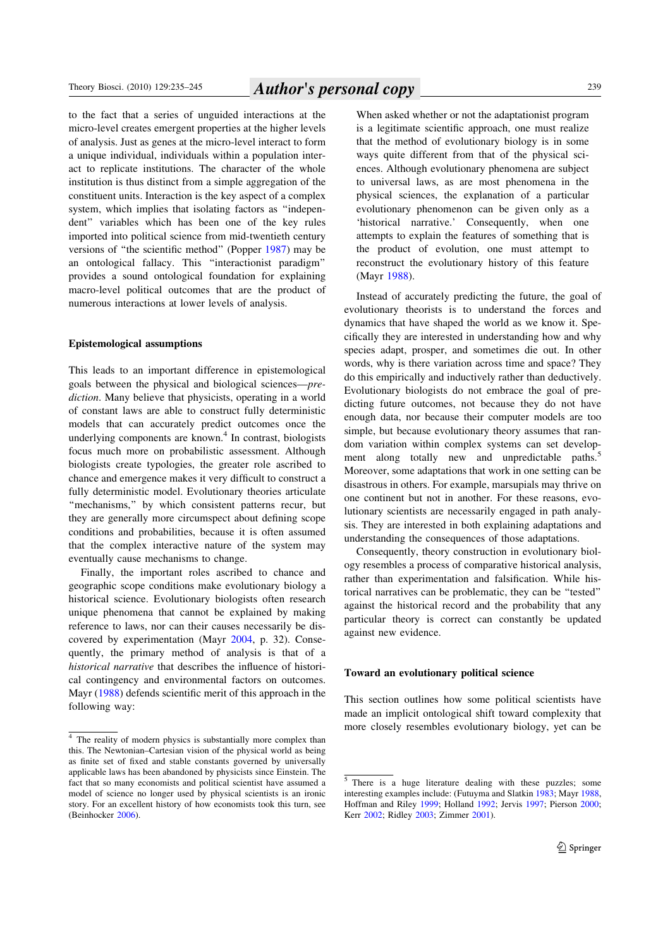to the fact that a series of unguided interactions at the micro-level creates emergent properties at the higher levels of analysis. Just as genes at the micro-level interact to form a unique individual, individuals within a population interact to replicate institutions. The character of the whole institution is thus distinct from a simple aggregation of the constituent units. Interaction is the key aspect of a complex system, which implies that isolating factors as ''independent'' variables which has been one of the key rules imported into political science from mid-twentieth century versions of ''the scientific method'' (Popper 1987) may be an ontological fallacy. This ''interactionist paradigm'' provides a sound ontological foundation for explaining macro-level political outcomes that are the product of numerous interactions at lower levels of analysis.

#### Epistemological assumptions

This leads to an important difference in epistemological goals between the physical and biological sciences—prediction. Many believe that physicists, operating in a world of constant laws are able to construct fully deterministic models that can accurately predict outcomes once the underlying components are known.<sup>4</sup> In contrast, biologists focus much more on probabilistic assessment. Although biologists create typologies, the greater role ascribed to chance and emergence makes it very difficult to construct a fully deterministic model. Evolutionary theories articulate "mechanisms," by which consistent patterns recur, but they are generally more circumspect about defining scope conditions and probabilities, because it is often assumed that the complex interactive nature of the system may eventually cause mechanisms to change.

Finally, the important roles ascribed to chance and geographic scope conditions make evolutionary biology a historical science. Evolutionary biologists often research unique phenomena that cannot be explained by making reference to laws, nor can their causes necessarily be discovered by experimentation (Mayr 2004, p. 32). Consequently, the primary method of analysis is that of a historical narrative that describes the influence of historical contingency and environmental factors on outcomes. Mayr (1988) defends scientific merit of this approach in the following way:

When asked whether or not the adaptationist program is a legitimate scientific approach, one must realize that the method of evolutionary biology is in some ways quite different from that of the physical sciences. Although evolutionary phenomena are subject to universal laws, as are most phenomena in the physical sciences, the explanation of a particular evolutionary phenomenon can be given only as a 'historical narrative.' Consequently, when one attempts to explain the features of something that is the product of evolution, one must attempt to reconstruct the evolutionary history of this feature (Mayr 1988).

Instead of accurately predicting the future, the goal of evolutionary theorists is to understand the forces and dynamics that have shaped the world as we know it. Specifically they are interested in understanding how and why species adapt, prosper, and sometimes die out. In other words, why is there variation across time and space? They do this empirically and inductively rather than deductively. Evolutionary biologists do not embrace the goal of predicting future outcomes, not because they do not have enough data, nor because their computer models are too simple, but because evolutionary theory assumes that random variation within complex systems can set development along totally new and unpredictable paths.<sup>5</sup> Moreover, some adaptations that work in one setting can be disastrous in others. For example, marsupials may thrive on one continent but not in another. For these reasons, evolutionary scientists are necessarily engaged in path analysis. They are interested in both explaining adaptations and understanding the consequences of those adaptations.

Consequently, theory construction in evolutionary biology resembles a process of comparative historical analysis, rather than experimentation and falsification. While historical narratives can be problematic, they can be ''tested'' against the historical record and the probability that any particular theory is correct can constantly be updated against new evidence.

#### Toward an evolutionary political science

This section outlines how some political scientists have made an implicit ontological shift toward complexity that more closely resembles evolutionary biology, yet can be

<sup>&</sup>lt;sup>4</sup> The reality of modern physics is substantially more complex than this. The Newtonian–Cartesian vision of the physical world as being as finite set of fixed and stable constants governed by universally applicable laws has been abandoned by physicists since Einstein. The fact that so many economists and political scientist have assumed a model of science no longer used by physical scientists is an ironic story. For an excellent history of how economists took this turn, see (Beinhocker 2006).

There is a huge literature dealing with these puzzles; some interesting examples include: (Futuyma and Slatkin 1983; Mayr 1988, Hoffman and Riley 1999; Holland 1992; Jervis 1997; Pierson 2000; Kerr 2002; Ridley 2003; Zimmer 2001).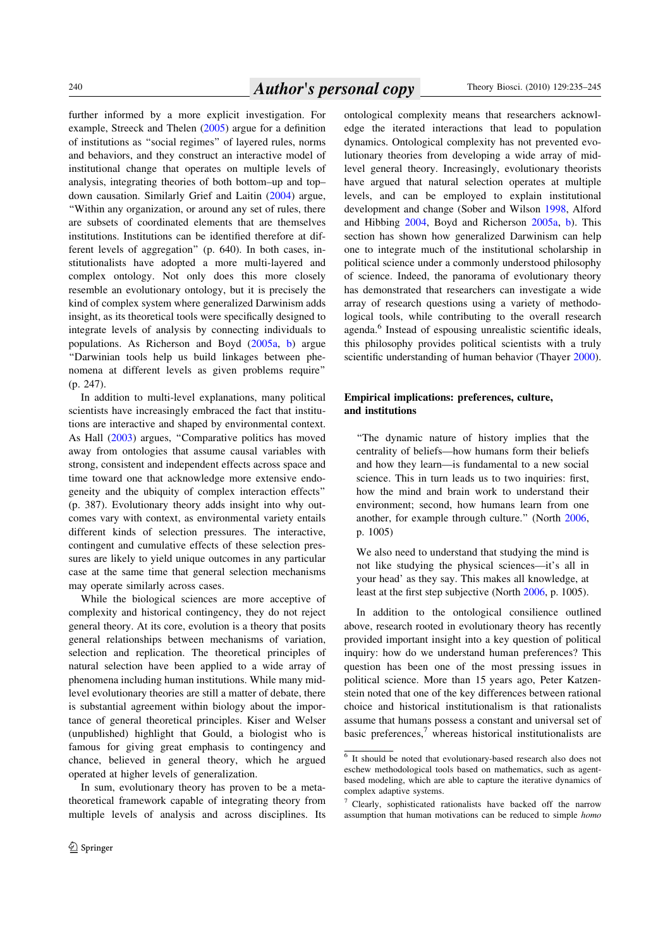further informed by a more explicit investigation. For example, Streeck and Thelen (2005) argue for a definition of institutions as ''social regimes'' of layered rules, norms and behaviors, and they construct an interactive model of institutional change that operates on multiple levels of analysis, integrating theories of both bottom–up and top– down causation. Similarly Grief and Laitin (2004) argue, ''Within any organization, or around any set of rules, there are subsets of coordinated elements that are themselves institutions. Institutions can be identified therefore at different levels of aggregation'' (p. 640). In both cases, institutionalists have adopted a more multi-layered and complex ontology. Not only does this more closely resemble an evolutionary ontology, but it is precisely the kind of complex system where generalized Darwinism adds insight, as its theoretical tools were specifically designed to integrate levels of analysis by connecting individuals to populations. As Richerson and Boyd (2005a, b) argue ''Darwinian tools help us build linkages between phenomena at different levels as given problems require'' (p. 247).

In addition to multi-level explanations, many political scientists have increasingly embraced the fact that institutions are interactive and shaped by environmental context. As Hall (2003) argues, ''Comparative politics has moved away from ontologies that assume causal variables with strong, consistent and independent effects across space and time toward one that acknowledge more extensive endogeneity and the ubiquity of complex interaction effects'' (p. 387). Evolutionary theory adds insight into why outcomes vary with context, as environmental variety entails different kinds of selection pressures. The interactive, contingent and cumulative effects of these selection pressures are likely to yield unique outcomes in any particular case at the same time that general selection mechanisms may operate similarly across cases.

While the biological sciences are more acceptive of complexity and historical contingency, they do not reject general theory. At its core, evolution is a theory that posits general relationships between mechanisms of variation, selection and replication. The theoretical principles of natural selection have been applied to a wide array of phenomena including human institutions. While many midlevel evolutionary theories are still a matter of debate, there is substantial agreement within biology about the importance of general theoretical principles. Kiser and Welser (unpublished) highlight that Gould, a biologist who is famous for giving great emphasis to contingency and chance, believed in general theory, which he argued operated at higher levels of generalization.

In sum, evolutionary theory has proven to be a metatheoretical framework capable of integrating theory from multiple levels of analysis and across disciplines. Its ontological complexity means that researchers acknowledge the iterated interactions that lead to population dynamics. Ontological complexity has not prevented evolutionary theories from developing a wide array of midlevel general theory. Increasingly, evolutionary theorists have argued that natural selection operates at multiple levels, and can be employed to explain institutional development and change (Sober and Wilson 1998, Alford and Hibbing 2004, Boyd and Richerson 2005a, b). This section has shown how generalized Darwinism can help one to integrate much of the institutional scholarship in political science under a commonly understood philosophy of science. Indeed, the panorama of evolutionary theory has demonstrated that researchers can investigate a wide array of research questions using a variety of methodological tools, while contributing to the overall research agenda.<sup>6</sup> Instead of espousing unrealistic scientific ideals, this philosophy provides political scientists with a truly scientific understanding of human behavior (Thayer 2000).

# Empirical implications: preferences, culture, and institutions

''The dynamic nature of history implies that the centrality of beliefs—how humans form their beliefs and how they learn—is fundamental to a new social science. This in turn leads us to two inquiries: first, how the mind and brain work to understand their environment; second, how humans learn from one another, for example through culture.'' (North 2006, p. 1005)

We also need to understand that studying the mind is not like studying the physical sciences—it's all in your head' as they say. This makes all knowledge, at least at the first step subjective (North 2006, p. 1005).

In addition to the ontological consilience outlined above, research rooted in evolutionary theory has recently provided important insight into a key question of political inquiry: how do we understand human preferences? This question has been one of the most pressing issues in political science. More than 15 years ago, Peter Katzenstein noted that one of the key differences between rational choice and historical institutionalism is that rationalists assume that humans possess a constant and universal set of basic preferences, $\frac{7}{1}$  whereas historical institutionalists are

 $\overline{6}$  It should be noted that evolutionary-based research also does not eschew methodological tools based on mathematics, such as agentbased modeling, which are able to capture the iterative dynamics of complex adaptive systems.

Clearly, sophisticated rationalists have backed off the narrow assumption that human motivations can be reduced to simple homo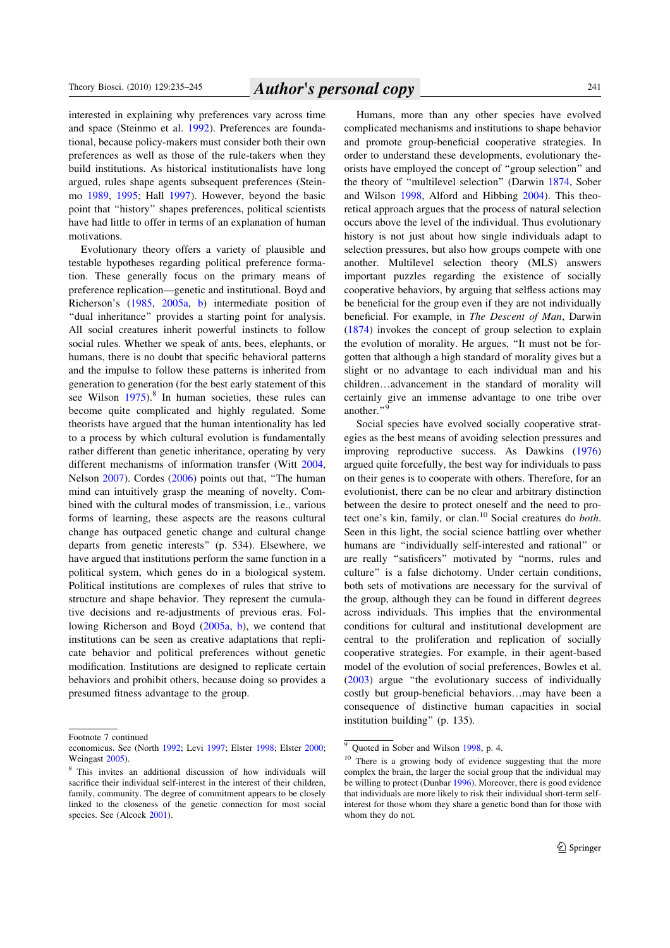interested in explaining why preferences vary across time and space (Steinmo et al. 1992). Preferences are foundational, because policy-makers must consider both their own preferences as well as those of the rule-takers when they build institutions. As historical institutionalists have long argued, rules shape agents subsequent preferences (Steinmo 1989, 1995; Hall 1997). However, beyond the basic point that ''history'' shapes preferences, political scientists have had little to offer in terms of an explanation of human motivations.

Evolutionary theory offers a variety of plausible and testable hypotheses regarding political preference formation. These generally focus on the primary means of preference replication—genetic and institutional. Boyd and Richerson's (1985, 2005a, b) intermediate position of ''dual inheritance'' provides a starting point for analysis. All social creatures inherit powerful instincts to follow social rules. Whether we speak of ants, bees, elephants, or humans, there is no doubt that specific behavioral patterns and the impulse to follow these patterns is inherited from generation to generation (for the best early statement of this see Wilson  $1975$ .<sup>8</sup> In human societies, these rules can become quite complicated and highly regulated. Some theorists have argued that the human intentionality has led to a process by which cultural evolution is fundamentally rather different than genetic inheritance, operating by very different mechanisms of information transfer (Witt 2004, Nelson 2007). Cordes (2006) points out that, ''The human mind can intuitively grasp the meaning of novelty. Combined with the cultural modes of transmission, i.e., various forms of learning, these aspects are the reasons cultural change has outpaced genetic change and cultural change departs from genetic interests'' (p. 534). Elsewhere, we have argued that institutions perform the same function in a political system, which genes do in a biological system. Political institutions are complexes of rules that strive to structure and shape behavior. They represent the cumulative decisions and re-adjustments of previous eras. Following Richerson and Boyd (2005a, b), we contend that institutions can be seen as creative adaptations that replicate behavior and political preferences without genetic modification. Institutions are designed to replicate certain behaviors and prohibit others, because doing so provides a presumed fitness advantage to the group.

Humans, more than any other species have evolved complicated mechanisms and institutions to shape behavior and promote group-beneficial cooperative strategies. In order to understand these developments, evolutionary theorists have employed the concept of ''group selection'' and the theory of ''multilevel selection'' (Darwin 1874, Sober and Wilson 1998, Alford and Hibbing 2004). This theoretical approach argues that the process of natural selection occurs above the level of the individual. Thus evolutionary history is not just about how single individuals adapt to selection pressures, but also how groups compete with one another. Multilevel selection theory (MLS) answers important puzzles regarding the existence of socially cooperative behaviors, by arguing that selfless actions may be beneficial for the group even if they are not individually beneficial. For example, in The Descent of Man, Darwin (1874) invokes the concept of group selection to explain the evolution of morality. He argues, ''It must not be forgotten that although a high standard of morality gives but a slight or no advantage to each individual man and his children…advancement in the standard of morality will certainly give an immense advantage to one tribe over another."

Social species have evolved socially cooperative strategies as the best means of avoiding selection pressures and improving reproductive success. As Dawkins (1976) argued quite forcefully, the best way for individuals to pass on their genes is to cooperate with others. Therefore, for an evolutionist, there can be no clear and arbitrary distinction between the desire to protect oneself and the need to protect one's kin, family, or clan.<sup>10</sup> Social creatures do *both*. Seen in this light, the social science battling over whether humans are ''individually self-interested and rational'' or are really ''satisficers'' motivated by ''norms, rules and culture'' is a false dichotomy. Under certain conditions, both sets of motivations are necessary for the survival of the group, although they can be found in different degrees across individuals. This implies that the environmental conditions for cultural and institutional development are central to the proliferation and replication of socially cooperative strategies. For example, in their agent-based model of the evolution of social preferences, Bowles et al. (2003) argue ''the evolutionary success of individually costly but group-beneficial behaviors…may have been a consequence of distinctive human capacities in social institution building'' (p. 135).

Footnote 7 continued

economicus. See (North 1992; Levi 1997; Elster 1998; Elster 2000; Weingast 2005).

<sup>8</sup> This invites an additional discussion of how individuals will sacrifice their individual self-interest in the interest of their children, family, community. The degree of commitment appears to be closely linked to the closeness of the genetic connection for most social species. See (Alcock 2001).

 $\frac{9}{9}$  Quoted in Sober and Wilson 1998, p. 4.

<sup>&</sup>lt;sup>10</sup> There is a growing body of evidence suggesting that the more complex the brain, the larger the social group that the individual may be willing to protect (Dunbar 1996). Moreover, there is good evidence that individuals are more likely to risk their individual short-term selfinterest for those whom they share a genetic bond than for those with whom they do not.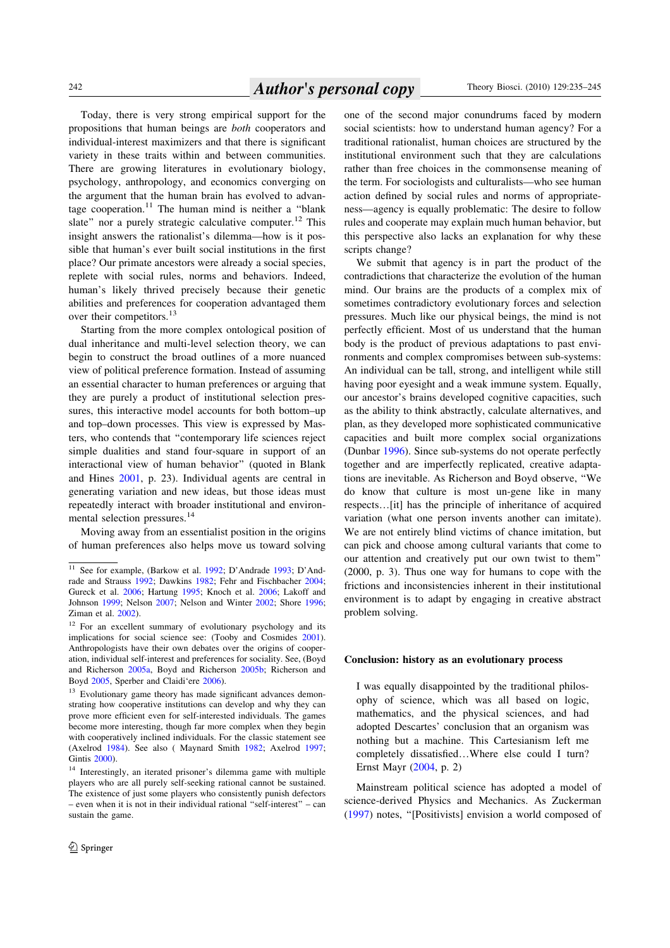242 Theory Biosci. (2010) 129:235–245  *Author's personal copy* 

Today, there is very strong empirical support for the propositions that human beings are both cooperators and individual-interest maximizers and that there is significant variety in these traits within and between communities. There are growing literatures in evolutionary biology, psychology, anthropology, and economics converging on the argument that the human brain has evolved to advantage cooperation. $11$  The human mind is neither a "blank slate" nor a purely strategic calculative computer.<sup>12</sup> This insight answers the rationalist's dilemma—how is it possible that human's ever built social institutions in the first place? Our primate ancestors were already a social species, replete with social rules, norms and behaviors. Indeed, human's likely thrived precisely because their genetic abilities and preferences for cooperation advantaged them over their competitors.<sup>13</sup>

Starting from the more complex ontological position of dual inheritance and multi-level selection theory, we can begin to construct the broad outlines of a more nuanced view of political preference formation. Instead of assuming an essential character to human preferences or arguing that they are purely a product of institutional selection pressures, this interactive model accounts for both bottom–up and top–down processes. This view is expressed by Masters, who contends that ''contemporary life sciences reject simple dualities and stand four-square in support of an interactional view of human behavior'' (quoted in Blank and Hines 2001, p. 23). Individual agents are central in generating variation and new ideas, but those ideas must repeatedly interact with broader institutional and environmental selection pressures.<sup>14</sup>

Moving away from an essentialist position in the origins of human preferences also helps move us toward solving one of the second major conundrums faced by modern social scientists: how to understand human agency? For a traditional rationalist, human choices are structured by the institutional environment such that they are calculations rather than free choices in the commonsense meaning of the term. For sociologists and culturalists—who see human action defined by social rules and norms of appropriateness—agency is equally problematic: The desire to follow rules and cooperate may explain much human behavior, but this perspective also lacks an explanation for why these scripts change?

We submit that agency is in part the product of the contradictions that characterize the evolution of the human mind. Our brains are the products of a complex mix of sometimes contradictory evolutionary forces and selection pressures. Much like our physical beings, the mind is not perfectly efficient. Most of us understand that the human body is the product of previous adaptations to past environments and complex compromises between sub-systems: An individual can be tall, strong, and intelligent while still having poor eyesight and a weak immune system. Equally, our ancestor's brains developed cognitive capacities, such as the ability to think abstractly, calculate alternatives, and plan, as they developed more sophisticated communicative capacities and built more complex social organizations (Dunbar 1996). Since sub-systems do not operate perfectly together and are imperfectly replicated, creative adaptations are inevitable. As Richerson and Boyd observe, ''We do know that culture is most un-gene like in many respects…[it] has the principle of inheritance of acquired variation (what one person invents another can imitate). We are not entirely blind victims of chance imitation, but can pick and choose among cultural variants that come to our attention and creatively put our own twist to them'' (2000, p. 3). Thus one way for humans to cope with the frictions and inconsistencies inherent in their institutional environment is to adapt by engaging in creative abstract problem solving.

### Conclusion: history as an evolutionary process

I was equally disappointed by the traditional philosophy of science, which was all based on logic, mathematics, and the physical sciences, and had adopted Descartes' conclusion that an organism was nothing but a machine. This Cartesianism left me completely dissatisfied…Where else could I turn? Ernst Mayr (2004, p. 2)

Mainstream political science has adopted a model of science-derived Physics and Mechanics. As Zuckerman (1997) notes, ''[Positivists] envision a world composed of

<sup>&</sup>lt;sup>11</sup> See for example, (Barkow et al. 1992; D'Andrade 1993; D'Andrade and Strauss 1992; Dawkins 1982; Fehr and Fischbacher 2004; Gureck et al. 2006; Hartung 1995; Knoch et al. 2006; Lakoff and Johnson 1999; Nelson 2007; Nelson and Winter 2002; Shore 1996; Ziman et al. 2002).

<sup>&</sup>lt;sup>12</sup> For an excellent summary of evolutionary psychology and its implications for social science see: (Tooby and Cosmides 2001). Anthropologists have their own debates over the origins of cooperation, individual self-interest and preferences for sociality. See, (Boyd and Richerson 2005a, Boyd and Richerson 2005b; Richerson and Boyd 2005, Sperber and Claidi'ere 2006).

<sup>&</sup>lt;sup>13</sup> Evolutionary game theory has made significant advances demonstrating how cooperative institutions can develop and why they can prove more efficient even for self-interested individuals. The games become more interesting, though far more complex when they begin with cooperatively inclined individuals. For the classic statement see (Axelrod 1984). See also ( Maynard Smith 1982; Axelrod 1997; Gintis 2000).

<sup>14</sup> Interestingly, an iterated prisoner's dilemma game with multiple players who are all purely self-seeking rational cannot be sustained. The existence of just some players who consistently punish defectors – even when it is not in their individual rational ''self-interest'' – can sustain the game.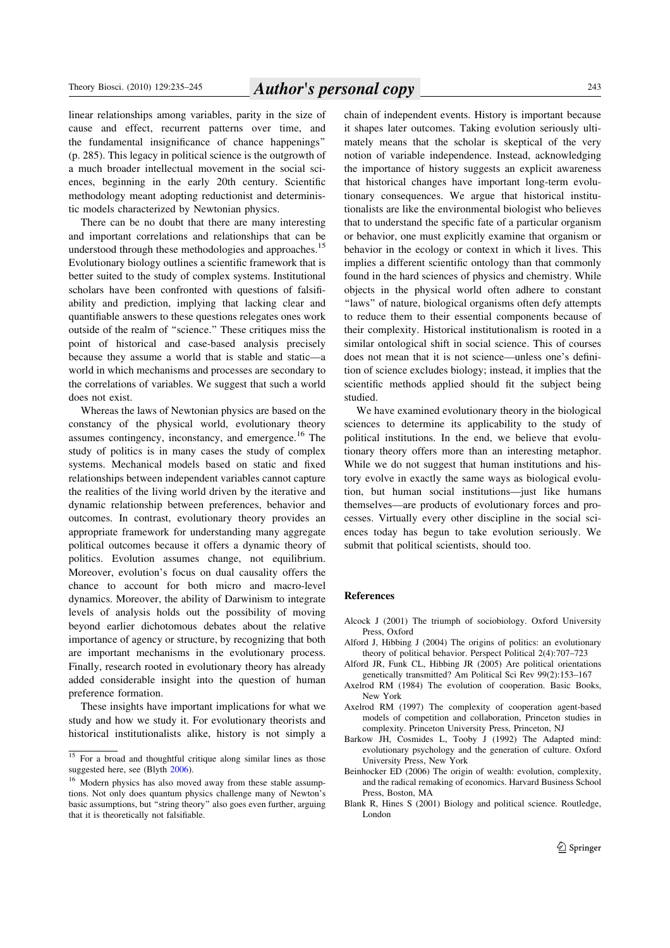linear relationships among variables, parity in the size of cause and effect, recurrent patterns over time, and the fundamental insignificance of chance happenings'' (p. 285). This legacy in political science is the outgrowth of a much broader intellectual movement in the social sciences, beginning in the early 20th century. Scientific methodology meant adopting reductionist and deterministic models characterized by Newtonian physics.

There can be no doubt that there are many interesting and important correlations and relationships that can be understood through these methodologies and approaches.<sup>15</sup> Evolutionary biology outlines a scientific framework that is better suited to the study of complex systems. Institutional scholars have been confronted with questions of falsifiability and prediction, implying that lacking clear and quantifiable answers to these questions relegates ones work outside of the realm of ''science.'' These critiques miss the point of historical and case-based analysis precisely because they assume a world that is stable and static—a world in which mechanisms and processes are secondary to the correlations of variables. We suggest that such a world does not exist.

Whereas the laws of Newtonian physics are based on the constancy of the physical world, evolutionary theory assumes contingency, inconstancy, and emergence.<sup>16</sup> The study of politics is in many cases the study of complex systems. Mechanical models based on static and fixed relationships between independent variables cannot capture the realities of the living world driven by the iterative and dynamic relationship between preferences, behavior and outcomes. In contrast, evolutionary theory provides an appropriate framework for understanding many aggregate political outcomes because it offers a dynamic theory of politics. Evolution assumes change, not equilibrium. Moreover, evolution's focus on dual causality offers the chance to account for both micro and macro-level dynamics. Moreover, the ability of Darwinism to integrate levels of analysis holds out the possibility of moving beyond earlier dichotomous debates about the relative importance of agency or structure, by recognizing that both are important mechanisms in the evolutionary process. Finally, research rooted in evolutionary theory has already added considerable insight into the question of human preference formation.

These insights have important implications for what we study and how we study it. For evolutionary theorists and historical institutionalists alike, history is not simply a chain of independent events. History is important because it shapes later outcomes. Taking evolution seriously ultimately means that the scholar is skeptical of the very notion of variable independence. Instead, acknowledging the importance of history suggests an explicit awareness that historical changes have important long-term evolutionary consequences. We argue that historical institutionalists are like the environmental biologist who believes that to understand the specific fate of a particular organism or behavior, one must explicitly examine that organism or behavior in the ecology or context in which it lives. This implies a different scientific ontology than that commonly found in the hard sciences of physics and chemistry. While objects in the physical world often adhere to constant ''laws'' of nature, biological organisms often defy attempts to reduce them to their essential components because of their complexity. Historical institutionalism is rooted in a similar ontological shift in social science. This of courses does not mean that it is not science—unless one's definition of science excludes biology; instead, it implies that the scientific methods applied should fit the subject being studied.

We have examined evolutionary theory in the biological sciences to determine its applicability to the study of political institutions. In the end, we believe that evolutionary theory offers more than an interesting metaphor. While we do not suggest that human institutions and history evolve in exactly the same ways as biological evolution, but human social institutions—just like humans themselves—are products of evolutionary forces and processes. Virtually every other discipline in the social sciences today has begun to take evolution seriously. We submit that political scientists, should too.

#### References

- Alcock J (2001) The triumph of sociobiology. Oxford University Press, Oxford
- Alford J, Hibbing J (2004) The origins of politics: an evolutionary theory of political behavior. Perspect Political 2(4):707–723
- Alford JR, Funk CL, Hibbing JR (2005) Are political orientations genetically transmitted? Am Political Sci Rev 99(2):153–167
- Axelrod RM (1984) The evolution of cooperation. Basic Books, New York
- Axelrod RM (1997) The complexity of cooperation agent-based models of competition and collaboration, Princeton studies in complexity. Princeton University Press, Princeton, NJ
- Barkow JH, Cosmides L, Tooby J (1992) The Adapted mind: evolutionary psychology and the generation of culture. Oxford University Press, New York
- Beinhocker ED (2006) The origin of wealth: evolution, complexity, and the radical remaking of economics. Harvard Business School Press, Boston, MA
- Blank R, Hines S (2001) Biology and political science. Routledge, London

<sup>&</sup>lt;sup>15</sup> For a broad and thoughtful critique along similar lines as those suggested here, see (Blyth 2006).

<sup>16</sup> Modern physics has also moved away from these stable assumptions. Not only does quantum physics challenge many of Newton's basic assumptions, but ''string theory'' also goes even further, arguing that it is theoretically not falsifiable.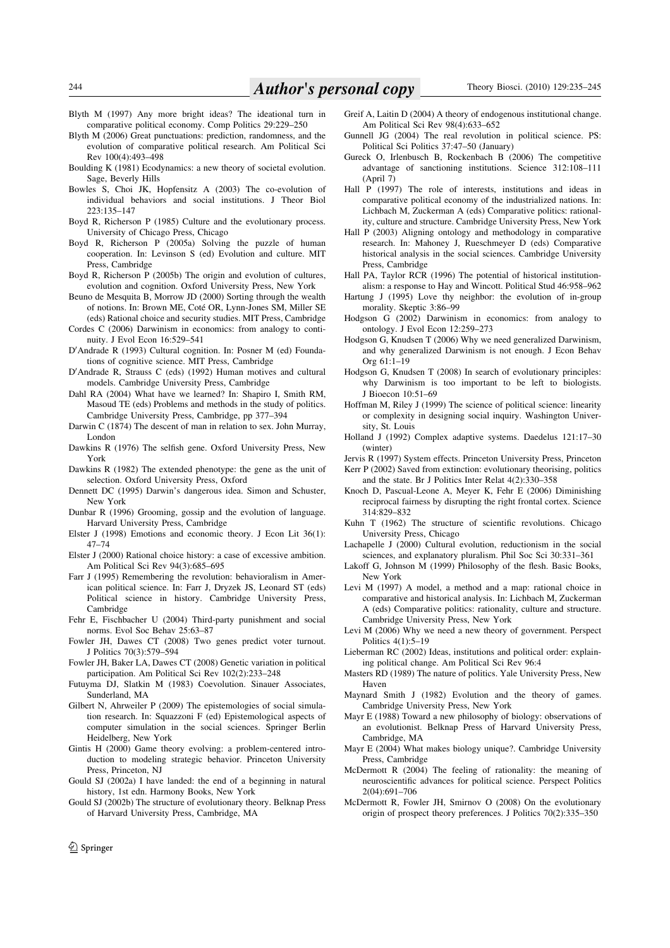- Blyth M (1997) Any more bright ideas? The ideational turn in comparative political economy. Comp Politics 29:229–250
- Blyth M (2006) Great punctuations: prediction, randomness, and the evolution of comparative political research. Am Political Sci Rev 100(4):493–498
- Boulding K (1981) Ecodynamics: a new theory of societal evolution. Sage, Beverly Hills
- Bowles S, Choi JK, Hopfensitz A (2003) The co-evolution of individual behaviors and social institutions. J Theor Biol 223:135–147
- Boyd R, Richerson P (1985) Culture and the evolutionary process. University of Chicago Press, Chicago
- Boyd R, Richerson P (2005a) Solving the puzzle of human cooperation. In: Levinson S (ed) Evolution and culture. MIT Press, Cambridge
- Boyd R, Richerson P (2005b) The origin and evolution of cultures, evolution and cognition. Oxford University Press, New York
- Beuno de Mesquita B, Morrow JD (2000) Sorting through the wealth of notions. In: Brown ME, Coté OR, Lynn-Jones SM, Miller SE (eds) Rational choice and security studies. MIT Press, Cambridge
- Cordes C (2006) Darwinism in economics: from analogy to continuity. J Evol Econ 16:529–541
- D'Andrade R (1993) Cultural cognition. In: Posner M (ed) Foundations of cognitive science. MIT Press, Cambridge
- D'Andrade R, Strauss C (eds) (1992) Human motives and cultural models. Cambridge University Press, Cambridge
- Dahl RA (2004) What have we learned? In: Shapiro I, Smith RM, Masoud TE (eds) Problems and methods in the study of politics. Cambridge University Press, Cambridge, pp 377–394
- Darwin C (1874) The descent of man in relation to sex. John Murray, London
- Dawkins R (1976) The selfish gene. Oxford University Press, New York
- Dawkins R (1982) The extended phenotype: the gene as the unit of selection. Oxford University Press, Oxford
- Dennett DC (1995) Darwin's dangerous idea. Simon and Schuster, New York
- Dunbar R (1996) Grooming, gossip and the evolution of language. Harvard University Press, Cambridge
- Elster J (1998) Emotions and economic theory. J Econ Lit 36(1): 47–74
- Elster J (2000) Rational choice history: a case of excessive ambition. Am Political Sci Rev 94(3):685–695
- Farr J (1995) Remembering the revolution: behavioralism in American political science. In: Farr J, Dryzek JS, Leonard ST (eds) Political science in history. Cambridge University Press, Cambridge
- Fehr E, Fischbacher U (2004) Third-party punishment and social norms. Evol Soc Behav 25:63–87
- Fowler JH, Dawes CT (2008) Two genes predict voter turnout. J Politics 70(3):579–594
- Fowler JH, Baker LA, Dawes CT (2008) Genetic variation in political participation. Am Political Sci Rev 102(2):233–248
- Futuyma DJ, Slatkin M (1983) Coevolution. Sinauer Associates, Sunderland, MA
- Gilbert N, Ahrweiler P (2009) The epistemologies of social simulation research. In: Squazzoni F (ed) Epistemological aspects of computer simulation in the social sciences. Springer Berlin Heidelberg, New York
- Gintis H (2000) Game theory evolving: a problem-centered introduction to modeling strategic behavior. Princeton University Press, Princeton, NJ
- Gould SJ (2002a) I have landed: the end of a beginning in natural history, 1st edn. Harmony Books, New York
- Gould SJ (2002b) The structure of evolutionary theory. Belknap Press of Harvard University Press, Cambridge, MA

Greif A, Laitin D (2004) A theory of endogenous institutional change. Am Political Sci Rev 98(4):633–652

- Gunnell JG (2004) The real revolution in political science. PS: Political Sci Politics 37:47–50 (January)
- Gureck O, Irlenbusch B, Rockenbach B (2006) The competitive advantage of sanctioning institutions. Science 312:108–111 (April 7)
- Hall P (1997) The role of interests, institutions and ideas in comparative political economy of the industrialized nations. In: Lichbach M, Zuckerman A (eds) Comparative politics: rationality, culture and structure. Cambridge University Press, New York
- Hall P (2003) Aligning ontology and methodology in comparative research. In: Mahoney J, Rueschmeyer D (eds) Comparative historical analysis in the social sciences. Cambridge University Press, Cambridge
- Hall PA, Taylor RCR (1996) The potential of historical institutionalism: a response to Hay and Wincott. Political Stud 46:958–962
- Hartung J (1995) Love thy neighbor: the evolution of in-group morality. Skeptic 3:86–99
- Hodgson G (2002) Darwinism in economics: from analogy to ontology. J Evol Econ 12:259–273
- Hodgson G, Knudsen T (2006) Why we need generalized Darwinism, and why generalized Darwinism is not enough. J Econ Behav Org 61:1–19
- Hodgson G, Knudsen T (2008) In search of evolutionary principles: why Darwinism is too important to be left to biologists. J Bioecon 10:51–69
- Hoffman M, Riley J (1999) The science of political science: linearity or complexity in designing social inquiry. Washington University, St. Louis
- Holland J (1992) Complex adaptive systems. Daedelus 121:17–30 (winter)

Jervis R (1997) System effects. Princeton University Press, Princeton Kerr P (2002) Saved from extinction: evolutionary theorising, politics and the state. Br J Politics Inter Relat 4(2):330–358

- Knoch D, Pascual-Leone A, Meyer K, Fehr E (2006) Diminishing reciprocal fairness by disrupting the right frontal cortex. Science 314:829–832
- Kuhn T (1962) The structure of scientific revolutions. Chicago University Press, Chicago
- Lachapelle J (2000) Cultural evolution, reductionism in the social sciences, and explanatory pluralism. Phil Soc Sci 30:331–361
- Lakoff G, Johnson M (1999) Philosophy of the flesh. Basic Books, New York
- Levi M (1997) A model, a method and a map: rational choice in comparative and historical analysis. In: Lichbach M, Zuckerman A (eds) Comparative politics: rationality, culture and structure. Cambridge University Press, New York
- Levi M (2006) Why we need a new theory of government. Perspect Politics 4(1):5–19
- Lieberman RC (2002) Ideas, institutions and political order: explaining political change. Am Political Sci Rev 96:4
- Masters RD (1989) The nature of politics. Yale University Press, New Haven
- Maynard Smith J (1982) Evolution and the theory of games. Cambridge University Press, New York
- Mayr E (1988) Toward a new philosophy of biology: observations of an evolutionist. Belknap Press of Harvard University Press, Cambridge, MA
- Mayr E (2004) What makes biology unique?. Cambridge University Press, Cambridge
- McDermott R (2004) The feeling of rationality: the meaning of neuroscientific advances for political science. Perspect Politics 2(04):691–706
- McDermott R, Fowler JH, Smirnov O (2008) On the evolutionary origin of prospect theory preferences. J Politics 70(2):335–350

 $\textcircled{2}$  Springer